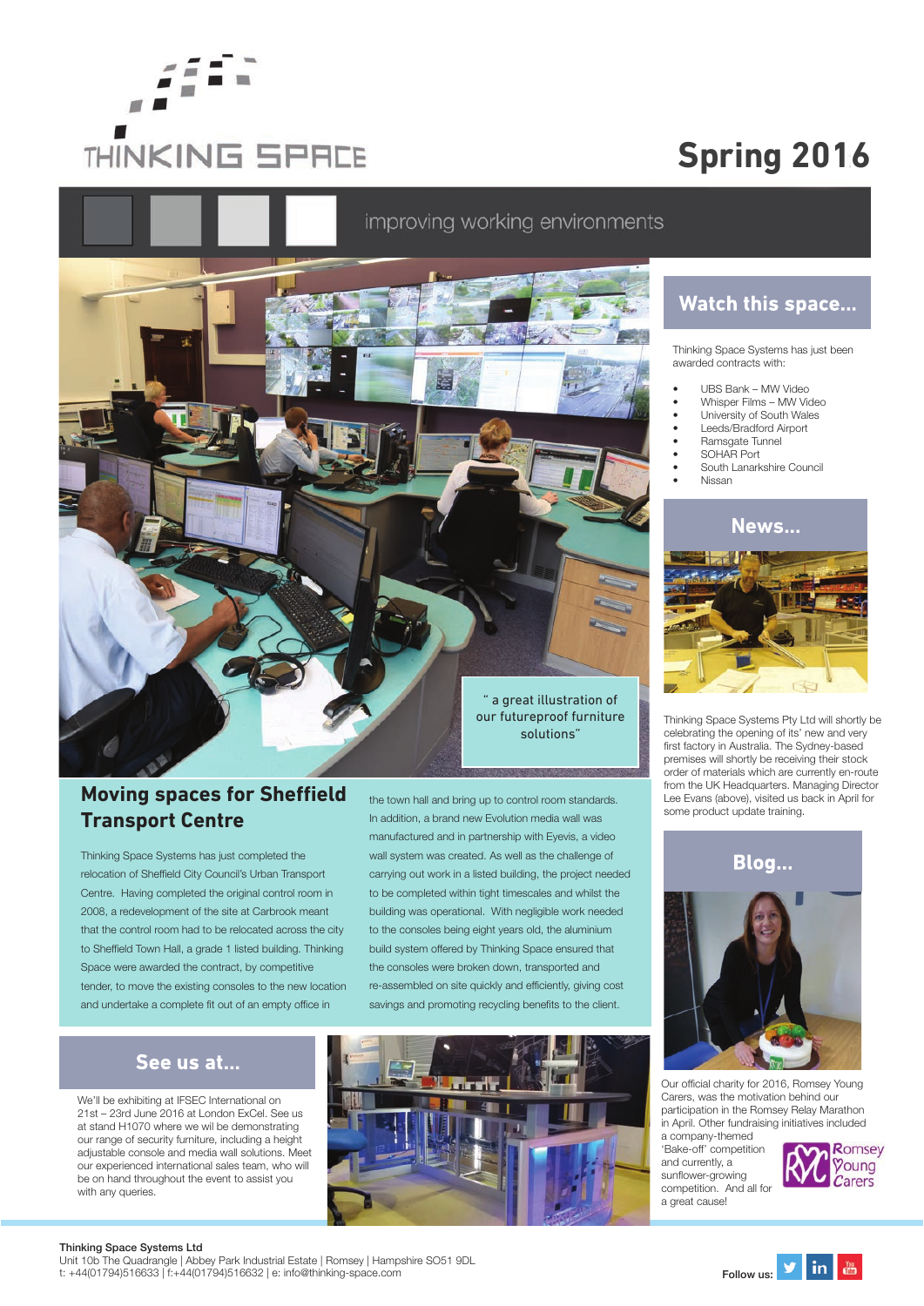

# **Spring 2016**

## improving working environments



#### **Moving spaces for Sheffield Transport Centre**

Thinking Space Systems has just completed the relocation of Sheffield City Council's Urban Transport Centre. Having completed the original control room in 2008, a redevelopment of the site at Carbrook meant that the control room had to be relocated across the city to Sheffield Town Hall, a grade 1 listed building. Thinking Space were awarded the contract, by competitive tender, to move the existing consoles to the new location and undertake a complete fit out of an empty office in

the town hall and bring up to control room standards. In addition, a brand new Evolution media wall was manufactured and in partnership with Eyevis, a video wall system was created. As well as the challenge of carrying out work in a listed building, the project needed to be completed within tight timescales and whilst the building was operational. With negligible work needed to the consoles being eight years old, the aluminium build system offered by Thinking Space ensured that the consoles were broken down, transported and re-assembled on site quickly and efficiently, giving cost savings and promoting recycling benefits to the client.

#### See us at...

We'll be exhibiting at IFSEC International on 21st – 23rd June 2016 at London ExCel. See us at stand H1070 where we wil be demonstrating our range of security furniture, including a height adjustable console and media wall solutions. Meet our experienced international sales team, who will be on hand throughout the event to assist you with any queries.



### **Watch this space...**

Thinking Space Systems has just been awarded contracts with:

- UBS Bank MW Video
- Whisper Films MW Video
- University of South Wales
- Leeds/Bradford Airport
- **Ramsgate Tunnel**
- SOHAR Port
- South Lanarkshire Council • Nissan





Thinking Space Systems Pty Ltd will shortly be celebrating the opening of its' new and very first factory in Australia. The Sydney-based premises will shortly be receiving their stock order of materials which are currently en-route from the UK Headquarters. Managing Director Lee Evans (above), visited us back in April for some product update training.



Our official charity for 2016, Romsey Young Carers, was the motivation behind our participation in the Romsey Relay Marathon in April. Other fundraising initiatives included a company-themed

'Bake-off' competition and currently, a sunflower-growing competition. And all for a great cause!



#### Thinking Space Systems Ltd

Unit 10b The Quadrangle | Abbey Park Industrial Estate | Romsey | Hampshire SO51 9DL Unit 10b The Quadrangle | Abbey Park Industrial Estate | Romsey | Hampshire SO51 9DL<br>t: +44(01794)516633 | f:+44(01794)516632 | e: info@thinking-space.com Follow us: Follow us: Follow us: Follow u